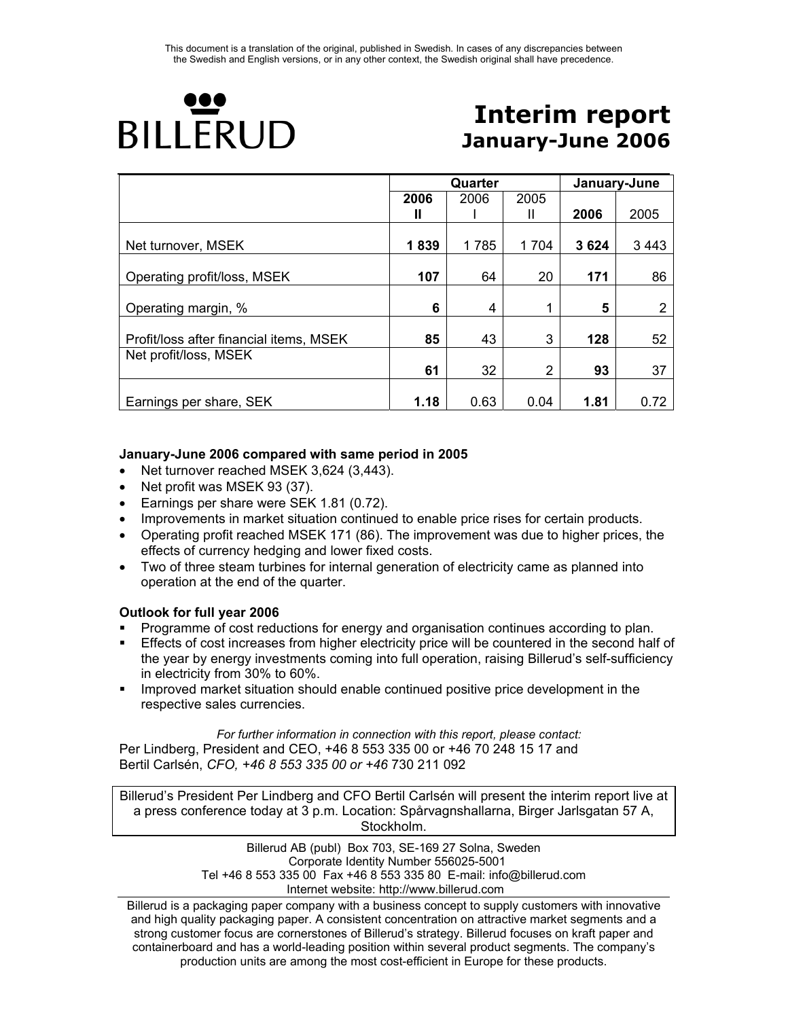

# **Interim report January-June 2006**

|                                         |      | Quarter |                | January-June |         |  |
|-----------------------------------------|------|---------|----------------|--------------|---------|--|
|                                         | 2006 | 2006    | 2005           |              |         |  |
|                                         | Ш    |         | Ш              | 2006         | 2005    |  |
|                                         |      |         |                |              |         |  |
| Net turnover, MSEK                      | 1839 | 1785    | 1704           | 3624         | 3 4 4 3 |  |
|                                         |      |         |                |              |         |  |
| Operating profit/loss, MSEK             | 107  | 64      | 20             | 171          | 86      |  |
|                                         |      |         |                |              |         |  |
| Operating margin, %                     | 6    | 4       | 1              | 5            | 2       |  |
|                                         |      |         |                |              |         |  |
| Profit/loss after financial items, MSEK | 85   | 43      | 3              | 128          | 52      |  |
| Net profit/loss, MSEK                   |      |         |                |              |         |  |
|                                         | 61   | 32      | $\overline{2}$ | 93           | 37      |  |
|                                         |      |         |                |              |         |  |
| Earnings per share, SEK                 | 1.18 | 0.63    | 0.04           | 1.81         | 0.72    |  |

# **January-June 2006 compared with same period in 2005**

- Net turnover reached MSEK 3,624 (3,443).
- Net profit was MSEK 93 (37).
- Earnings per share were SEK 1.81 (0.72).
- Improvements in market situation continued to enable price rises for certain products.
- Operating profit reached MSEK 171 (86). The improvement was due to higher prices, the effects of currency hedging and lower fixed costs.
- Two of three steam turbines for internal generation of electricity came as planned into operation at the end of the quarter.

#### **Outlook for full year 2006**

- Programme of cost reductions for energy and organisation continues according to plan.
- Effects of cost increases from higher electricity price will be countered in the second half of the year by energy investments coming into full operation, raising Billerud's self-sufficiency in electricity from 30% to 60%.
- Improved market situation should enable continued positive price development in the respective sales currencies.

*For further information in connection with this report, please contact:*  Per Lindberg, President and CEO, +46 8 553 335 00 or +46 70 248 15 17 and Bertil Carlsén, *CFO, +46 8 553 335 00 or +46* 730 211 092

Billerud's President Per Lindberg and CFO Bertil Carlsén will present the interim report live at a press conference today at 3 p.m. Location: Spårvagnshallarna, Birger Jarlsgatan 57 A, Stockholm.

> Billerud AB (publ) Box 703, SE-169 27 Solna, Sweden Corporate Identity Number 556025-5001 Tel +46 8 553 335 00 Fax +46 8 553 335 80 E-mail: info@billerud.com Internet website: http://www.billerud.com

Billerud is a packaging paper company with a business concept to supply customers with innovative and high quality packaging paper. A consistent concentration on attractive market segments and a strong customer focus are cornerstones of Billerud's strategy. Billerud focuses on kraft paper and containerboard and has a world-leading position within several product segments. The company's production units are among the most cost-efficient in Europe for these products.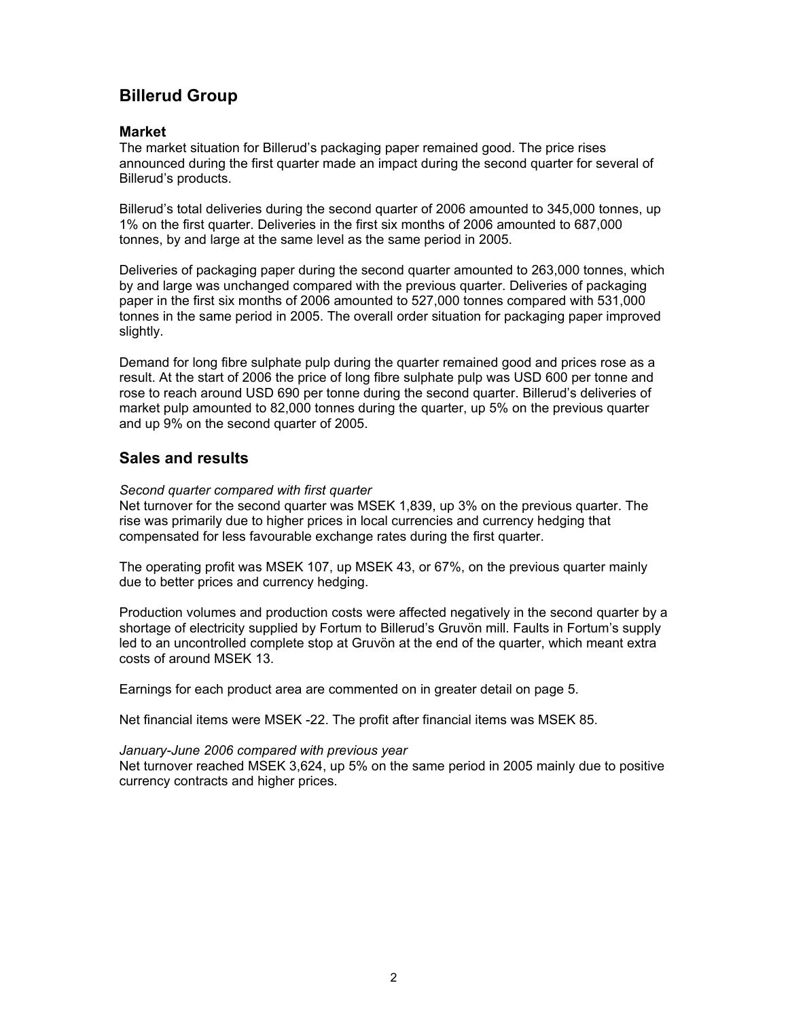# **Billerud Group**

### **Market**

The market situation for Billerud's packaging paper remained good. The price rises announced during the first quarter made an impact during the second quarter for several of Billerud's products.

Billerud's total deliveries during the second quarter of 2006 amounted to 345,000 tonnes, up 1% on the first quarter. Deliveries in the first six months of 2006 amounted to 687,000 tonnes, by and large at the same level as the same period in 2005.

Deliveries of packaging paper during the second quarter amounted to 263,000 tonnes, which by and large was unchanged compared with the previous quarter. Deliveries of packaging paper in the first six months of 2006 amounted to 527,000 tonnes compared with 531,000 tonnes in the same period in 2005. The overall order situation for packaging paper improved slightly.

Demand for long fibre sulphate pulp during the quarter remained good and prices rose as a result. At the start of 2006 the price of long fibre sulphate pulp was USD 600 per tonne and rose to reach around USD 690 per tonne during the second quarter. Billerud's deliveries of market pulp amounted to 82,000 tonnes during the quarter, up 5% on the previous quarter and up 9% on the second quarter of 2005.

# **Sales and results**

*Second quarter compared with first quarter* 

Net turnover for the second quarter was MSEK 1,839, up 3% on the previous quarter. The rise was primarily due to higher prices in local currencies and currency hedging that compensated for less favourable exchange rates during the first quarter.

The operating profit was MSEK 107, up MSEK 43, or 67%, on the previous quarter mainly due to better prices and currency hedging.

Production volumes and production costs were affected negatively in the second quarter by a shortage of electricity supplied by Fortum to Billerud's Gruvön mill. Faults in Fortum's supply led to an uncontrolled complete stop at Gruvön at the end of the quarter, which meant extra costs of around MSEK 13.

Earnings for each product area are commented on in greater detail on page 5.

Net financial items were MSEK -22. The profit after financial items was MSEK 85.

#### *January-June 2006 compared with previous year*

Net turnover reached MSEK 3,624, up 5% on the same period in 2005 mainly due to positive currency contracts and higher prices.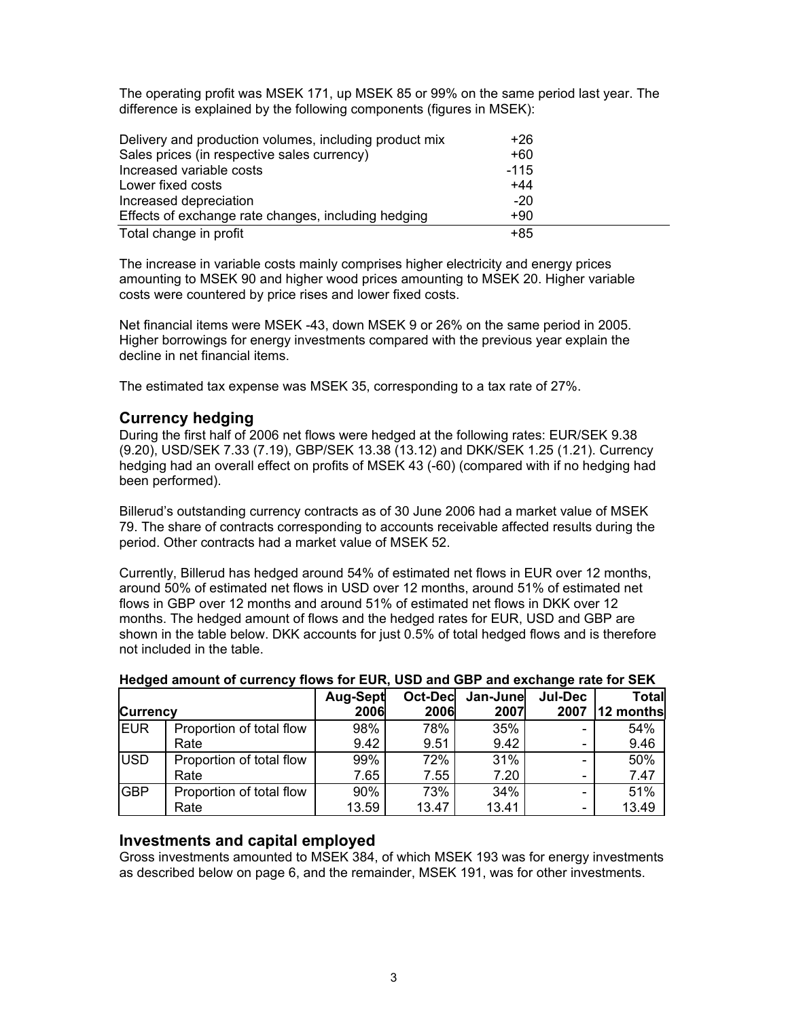The operating profit was MSEK 171, up MSEK 85 or 99% on the same period last year. The difference is explained by the following components (figures in MSEK):

| Delivery and production volumes, including product mix | +26    |  |
|--------------------------------------------------------|--------|--|
| Sales prices (in respective sales currency)            | +60    |  |
| Increased variable costs                               | $-115$ |  |
| Lower fixed costs                                      | $+44$  |  |
| Increased depreciation                                 | $-20$  |  |
| Effects of exchange rate changes, including hedging    | $+90$  |  |
| Total change in profit                                 | $+85$  |  |

The increase in variable costs mainly comprises higher electricity and energy prices amounting to MSEK 90 and higher wood prices amounting to MSEK 20. Higher variable costs were countered by price rises and lower fixed costs.

Net financial items were MSEK -43, down MSEK 9 or 26% on the same period in 2005. Higher borrowings for energy investments compared with the previous year explain the decline in net financial items.

The estimated tax expense was MSEK 35, corresponding to a tax rate of 27%.

# **Currency hedging**

During the first half of 2006 net flows were hedged at the following rates: EUR/SEK 9.38 (9.20), USD/SEK 7.33 (7.19), GBP/SEK 13.38 (13.12) and DKK/SEK 1.25 (1.21). Currency hedging had an overall effect on profits of MSEK 43 (-60) (compared with if no hedging had been performed).

Billerud's outstanding currency contracts as of 30 June 2006 had a market value of MSEK 79. The share of contracts corresponding to accounts receivable affected results during the period. Other contracts had a market value of MSEK 52.

Currently, Billerud has hedged around 54% of estimated net flows in EUR over 12 months, around 50% of estimated net flows in USD over 12 months, around 51% of estimated net flows in GBP over 12 months and around 51% of estimated net flows in DKK over 12 months. The hedged amount of flows and the hedged rates for EUR, USD and GBP are shown in the table below. DKK accounts for just 0.5% of total hedged flows and is therefore not included in the table.

|                 |                          | <b>Aug-Sept</b> | <b>Oct-Dec</b> | Jan-June | Jul-Dec | Total     |
|-----------------|--------------------------|-----------------|----------------|----------|---------|-----------|
| <b>Currency</b> |                          | 2006            | 2006           | 2007     | 2007    | 12 months |
| <b>IEUR</b>     | Proportion of total flow | 98%             | 78%            | 35%      |         | 54%       |
|                 | Rate                     | 9.42            | 9.51           | 9.42     |         | 9.46      |
| <b>USD</b>      | Proportion of total flow | 99%             | 72%            | 31%      |         | 50%       |
|                 | Rate                     | 7.65            | 7.55           | 7.20     |         | 7.47      |
| <b>GBP</b>      | Proportion of total flow | 90%             | 73%            | 34%      |         | 51%       |
|                 | Rate                     | 13.59           | 13.47          | 13.41    |         | 13.49     |

### **Hedged amount of currency flows for EUR, USD and GBP and exchange rate for SEK**

# **Investments and capital employed**

Gross investments amounted to MSEK 384, of which MSEK 193 was for energy investments as described below on page 6, and the remainder, MSEK 191, was for other investments.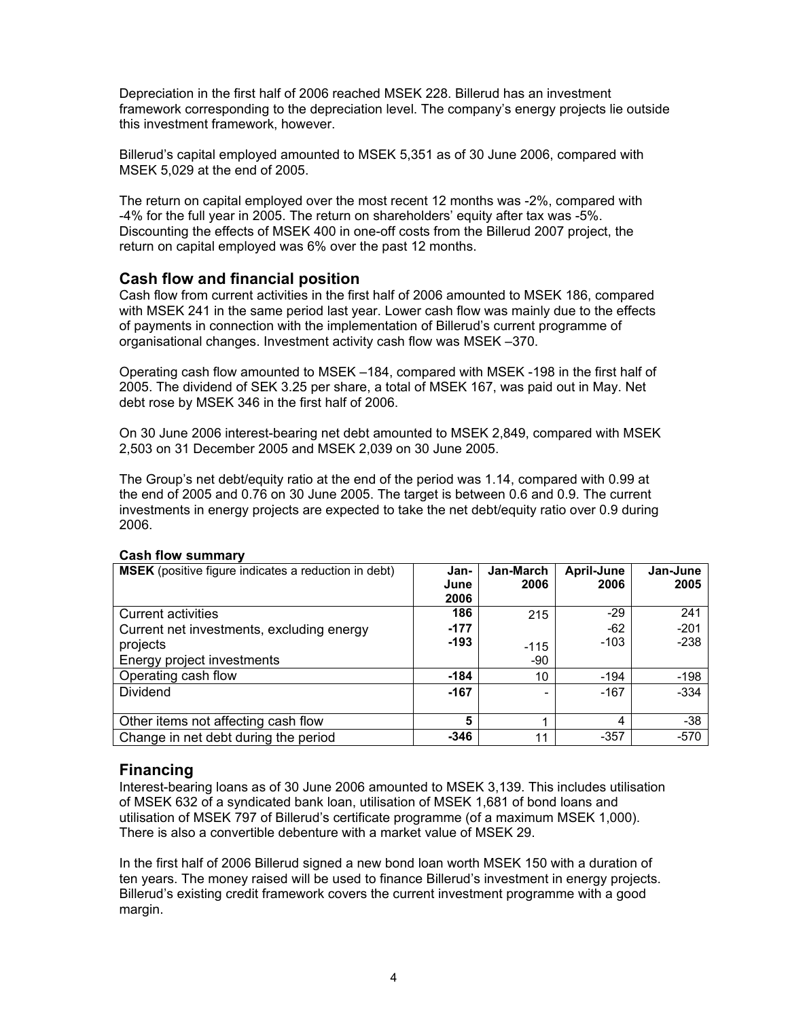Depreciation in the first half of 2006 reached MSEK 228. Billerud has an investment framework corresponding to the depreciation level. The company's energy projects lie outside this investment framework, however.

Billerud's capital employed amounted to MSEK 5,351 as of 30 June 2006, compared with MSEK 5,029 at the end of 2005.

The return on capital employed over the most recent 12 months was -2%, compared with -4% for the full year in 2005. The return on shareholders' equity after tax was -5%. Discounting the effects of MSEK 400 in one-off costs from the Billerud 2007 project, the return on capital employed was 6% over the past 12 months.

# **Cash flow and financial position**

Cash flow from current activities in the first half of 2006 amounted to MSEK 186, compared with MSEK 241 in the same period last year. Lower cash flow was mainly due to the effects of payments in connection with the implementation of Billerud's current programme of organisational changes. Investment activity cash flow was MSEK –370.

Operating cash flow amounted to MSEK –184, compared with MSEK -198 in the first half of 2005. The dividend of SEK 3.25 per share, a total of MSEK 167, was paid out in May. Net debt rose by MSEK 346 in the first half of 2006.

On 30 June 2006 interest-bearing net debt amounted to MSEK 2,849, compared with MSEK 2,503 on 31 December 2005 and MSEK 2,039 on 30 June 2005.

The Group's net debt/equity ratio at the end of the period was 1.14, compared with 0.99 at the end of 2005 and 0.76 on 30 June 2005. The target is between 0.6 and 0.9. The current investments in energy projects are expected to take the net debt/equity ratio over 0.9 during 2006.

| <b>MSEK</b> (positive figure indicates a reduction in debt) | Jan-<br>June<br>2006 | Jan-March<br>2006        | April-June<br>2006 | Jan-June<br>2005 |
|-------------------------------------------------------------|----------------------|--------------------------|--------------------|------------------|
| Current activities                                          | 186                  | 215                      | $-29$              | 241              |
| Current net investments, excluding energy                   | $-177$               |                          | $-62$              | $-201$           |
| projects                                                    | $-193$               | $-115$                   | $-103$             | $-238$           |
| Energy project investments                                  |                      | -90                      |                    |                  |
| Operating cash flow                                         | $-184$               | 10                       | $-194$             | $-198$           |
| <b>Dividend</b>                                             | $-167$               | $\overline{\phantom{0}}$ | $-167$             | $-334$           |
|                                                             |                      |                          |                    |                  |
| Other items not affecting cash flow                         | 5                    |                          | 4                  | $-38$            |
| Change in net debt during the period                        | $-346$               | 11                       | $-357$             | $-570$           |

#### **Cash flow summary**

# **Financing**

Interest-bearing loans as of 30 June 2006 amounted to MSEK 3,139. This includes utilisation of MSEK 632 of a syndicated bank loan, utilisation of MSEK 1,681 of bond loans and utilisation of MSEK 797 of Billerud's certificate programme (of a maximum MSEK 1,000). There is also a convertible debenture with a market value of MSEK 29.

In the first half of 2006 Billerud signed a new bond loan worth MSEK 150 with a duration of ten years. The money raised will be used to finance Billerud's investment in energy projects. Billerud's existing credit framework covers the current investment programme with a good margin.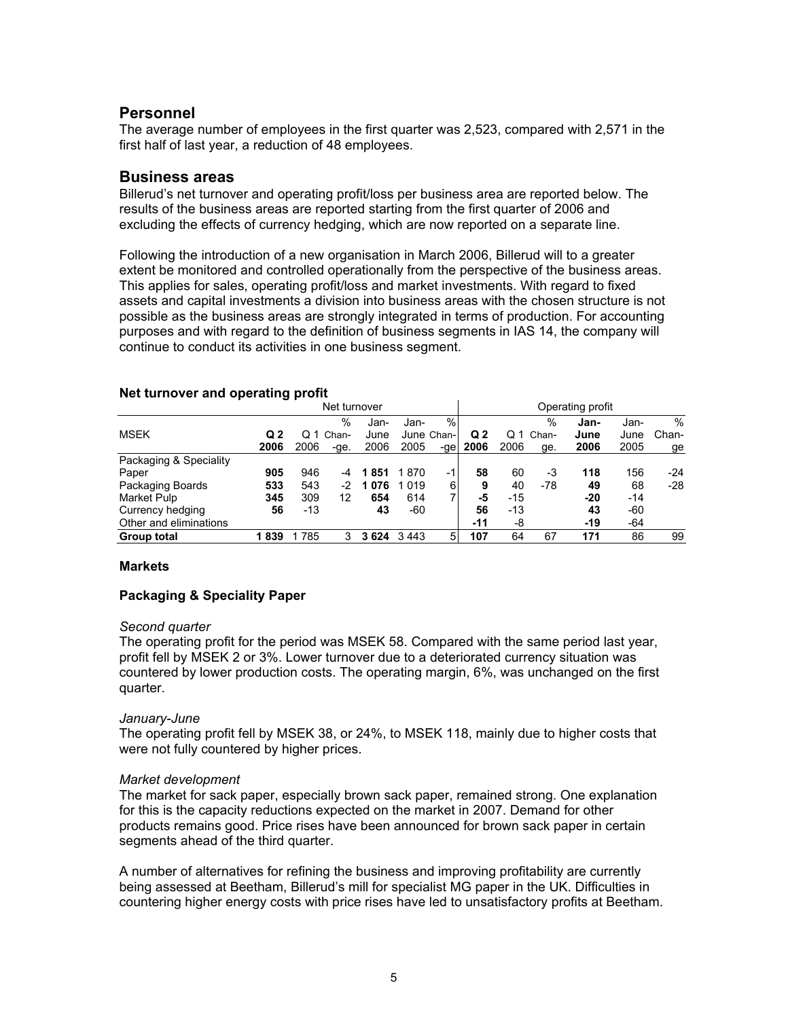### **Personnel**

The average number of employees in the first quarter was 2,523, compared with 2,571 in the first half of last year, a reduction of 48 employees.

#### **Business areas**

Billerud's net turnover and operating profit/loss per business area are reported below. The results of the business areas are reported starting from the first quarter of 2006 and excluding the effects of currency hedging, which are now reported on a separate line.

Following the introduction of a new organisation in March 2006, Billerud will to a greater extent be monitored and controlled operationally from the perspective of the business areas. This applies for sales, operating profit/loss and market investments. With regard to fixed assets and capital investments a division into business areas with the chosen structure is not possible as the business areas are strongly integrated in terms of production. For accounting purposes and with regard to the definition of business segments in IAS 14, the company will continue to conduct its activities in one business segment.

| Net turnover           |      |      |       | Operating profit |         |            |                |       |       |       |       |       |
|------------------------|------|------|-------|------------------|---------|------------|----------------|-------|-------|-------|-------|-------|
|                        |      |      | $\%$  | Jan-             | Jan-    | %          |                |       | %     | Jan-  | Jan-  | %     |
| <b>MSEK</b>            | Q 2  |      | Chan- | June             |         | June Chan- | Q <sub>2</sub> | O 1   | Chan- | June  | June  | Chan- |
|                        | 2006 | 2006 | -ge.  | 2006             | 2005    | -ge        | 2006           | 2006  | ge.   | 2006  | 2005  | ge    |
| Packaging & Speciality |      |      |       |                  |         |            |                |       |       |       |       |       |
| Paper                  | 905  | 946  | -4    | 851              | 1870    | -1         | 58             | 60    | -3    | 118   | 156   | -24   |
| Packaging Boards       | 533  | 543  | -2    | 076              | 1 0 1 9 | 6          | 9              | 40    | -78   | 49    | 68    | $-28$ |
| Market Pulp            | 345  | 309  | 12    | 654              | 614     | 71         | -5             | -15   |       | -20   | -14   |       |
| Currency hedging       | 56   | -13  |       | 43               | -60     |            | 56             | $-13$ |       | 43    | -60   |       |
| Other and eliminations |      |      |       |                  |         |            | $-11$          | -8    |       | $-19$ | $-64$ |       |
| <b>Group total</b>     | 839  | 1785 | 3     | 3624             | 3443    | 5          | 107            | 64    | 67    | 171   | 86    | 99    |

#### **Net turnover and operating profit**

#### **Markets**

#### **Packaging & Speciality Paper**

#### *Second quarter*

The operating profit for the period was MSEK 58. Compared with the same period last year, profit fell by MSEK 2 or 3%. Lower turnover due to a deteriorated currency situation was countered by lower production costs. The operating margin, 6%, was unchanged on the first quarter.

#### *January-June*

The operating profit fell by MSEK 38, or 24%, to MSEK 118, mainly due to higher costs that were not fully countered by higher prices.

#### *Market development*

The market for sack paper, especially brown sack paper, remained strong. One explanation for this is the capacity reductions expected on the market in 2007. Demand for other products remains good. Price rises have been announced for brown sack paper in certain segments ahead of the third quarter.

A number of alternatives for refining the business and improving profitability are currently being assessed at Beetham, Billerud's mill for specialist MG paper in the UK. Difficulties in countering higher energy costs with price rises have led to unsatisfactory profits at Beetham.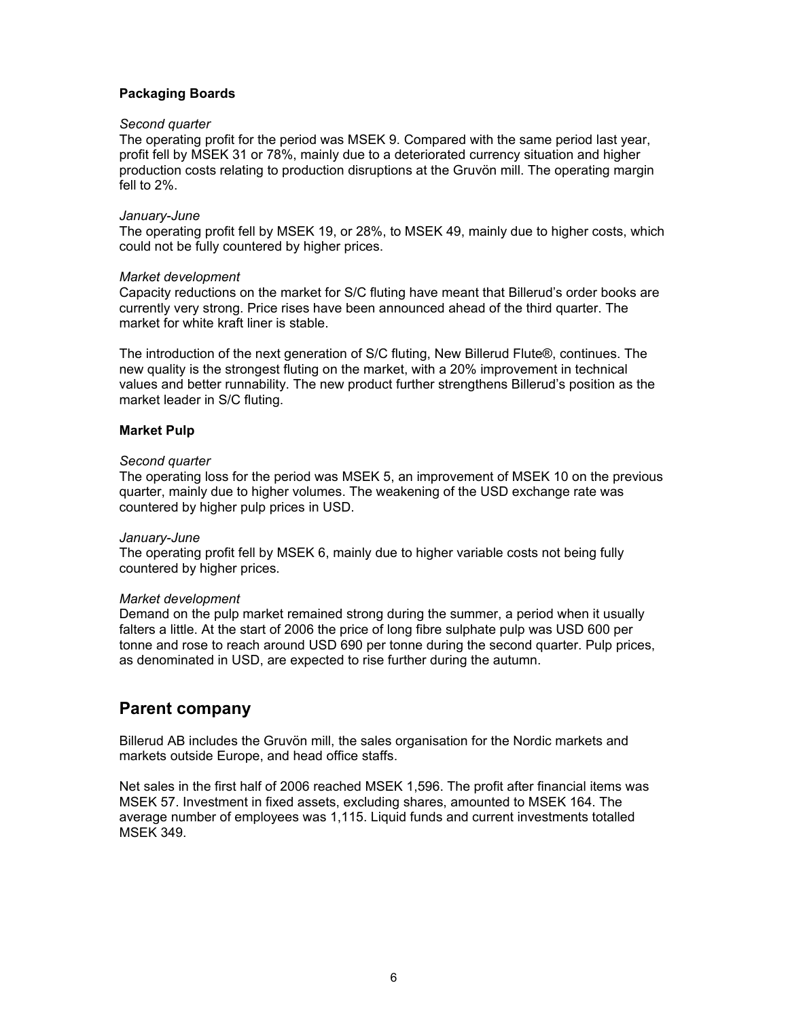#### **Packaging Boards**

#### *Second quarter*

The operating profit for the period was MSEK 9. Compared with the same period last year, profit fell by MSEK 31 or 78%, mainly due to a deteriorated currency situation and higher production costs relating to production disruptions at the Gruvön mill. The operating margin fell to 2%.

#### *January-June*

The operating profit fell by MSEK 19, or 28%, to MSEK 49, mainly due to higher costs, which could not be fully countered by higher prices.

#### *Market development*

Capacity reductions on the market for S/C fluting have meant that Billerud's order books are currently very strong. Price rises have been announced ahead of the third quarter. The market for white kraft liner is stable.

The introduction of the next generation of S/C fluting, New Billerud Flute®, continues. The new quality is the strongest fluting on the market, with a 20% improvement in technical values and better runnability. The new product further strengthens Billerud's position as the market leader in S/C fluting.

#### **Market Pulp**

#### *Second quarter*

The operating loss for the period was MSEK 5, an improvement of MSEK 10 on the previous quarter, mainly due to higher volumes. The weakening of the USD exchange rate was countered by higher pulp prices in USD.

#### *January-June*

The operating profit fell by MSEK 6, mainly due to higher variable costs not being fully countered by higher prices.

#### *Market development*

Demand on the pulp market remained strong during the summer, a period when it usually falters a little. At the start of 2006 the price of long fibre sulphate pulp was USD 600 per tonne and rose to reach around USD 690 per tonne during the second quarter. Pulp prices, as denominated in USD, are expected to rise further during the autumn.

# **Parent company**

Billerud AB includes the Gruvön mill, the sales organisation for the Nordic markets and markets outside Europe, and head office staffs.

Net sales in the first half of 2006 reached MSEK 1,596. The profit after financial items was MSEK 57. Investment in fixed assets, excluding shares, amounted to MSEK 164. The average number of employees was 1,115. Liquid funds and current investments totalled MSEK 349.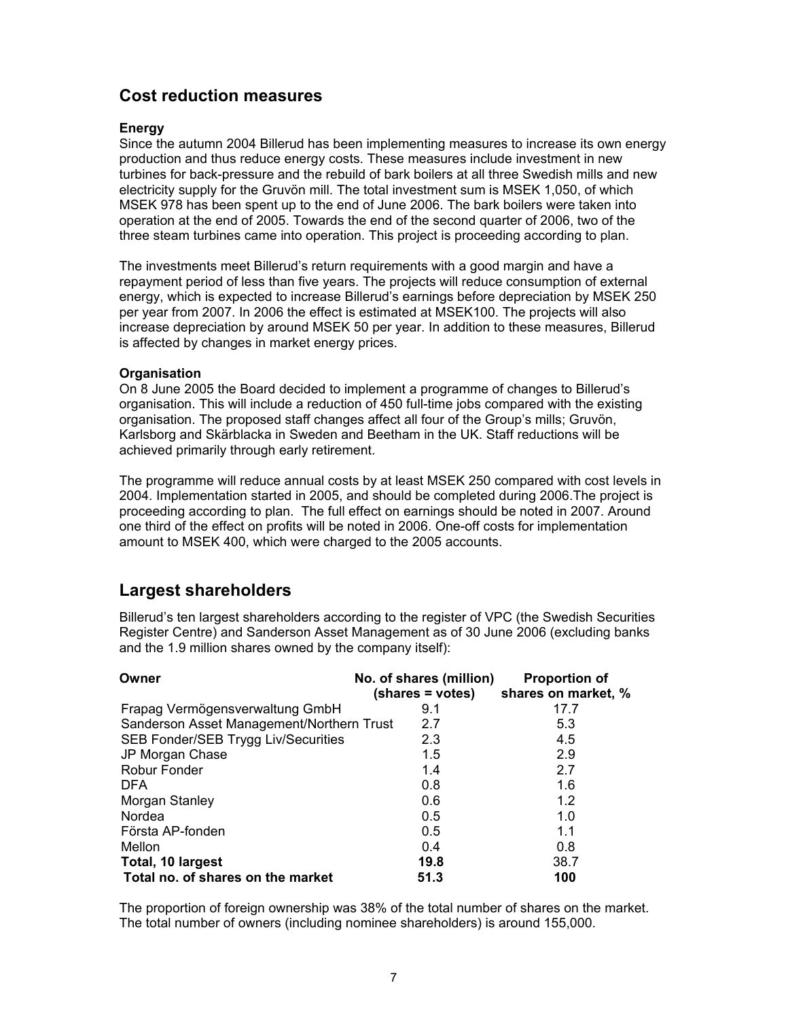# **Cost reduction measures**

#### **Energy**

Since the autumn 2004 Billerud has been implementing measures to increase its own energy production and thus reduce energy costs. These measures include investment in new turbines for back-pressure and the rebuild of bark boilers at all three Swedish mills and new electricity supply for the Gruvön mill. The total investment sum is MSEK 1,050, of which MSEK 978 has been spent up to the end of June 2006. The bark boilers were taken into operation at the end of 2005. Towards the end of the second quarter of 2006, two of the three steam turbines came into operation. This project is proceeding according to plan.

The investments meet Billerud's return requirements with a good margin and have a repayment period of less than five years. The projects will reduce consumption of external energy, which is expected to increase Billerud's earnings before depreciation by MSEK 250 per year from 2007. In 2006 the effect is estimated at MSEK100. The projects will also increase depreciation by around MSEK 50 per year. In addition to these measures, Billerud is affected by changes in market energy prices.

#### **Organisation**

On 8 June 2005 the Board decided to implement a programme of changes to Billerud's organisation. This will include a reduction of 450 full-time jobs compared with the existing organisation. The proposed staff changes affect all four of the Group's mills; Gruvön, Karlsborg and Skärblacka in Sweden and Beetham in the UK. Staff reductions will be achieved primarily through early retirement.

The programme will reduce annual costs by at least MSEK 250 compared with cost levels in 2004. Implementation started in 2005, and should be completed during 2006.The project is proceeding according to plan. The full effect on earnings should be noted in 2007. Around one third of the effect on profits will be noted in 2006. One-off costs for implementation amount to MSEK 400, which were charged to the 2005 accounts.

# **Largest shareholders**

Billerud's ten largest shareholders according to the register of VPC (the Swedish Securities Register Centre) and Sanderson Asset Management as of 30 June 2006 (excluding banks and the 1.9 million shares owned by the company itself):

| Owner                                     | No. of shares (million)<br>(shares = votes) | <b>Proportion of</b><br>shares on market, % |
|-------------------------------------------|---------------------------------------------|---------------------------------------------|
| Frapag Vermögensverwaltung GmbH           | 9.1                                         | 17.7                                        |
| Sanderson Asset Management/Northern Trust | 2.7                                         | 5.3                                         |
| SEB Fonder/SEB Trygg Liv/Securities       | 2.3                                         | 4.5                                         |
| JP Morgan Chase                           | 1.5                                         | 2.9                                         |
| <b>Robur Fonder</b>                       | 1.4                                         | 2.7                                         |
| <b>DFA</b>                                | 0.8                                         | 1.6                                         |
| Morgan Stanley                            | 0.6                                         | 1.2                                         |
| Nordea                                    | 0.5                                         | 1.0                                         |
| Första AP-fonden                          | 0.5                                         | 1.1                                         |
| Mellon                                    | 0.4                                         | 0.8                                         |
| Total, 10 largest                         | 19.8                                        | 38.7                                        |
| Total no. of shares on the market         | 51.3                                        | 100                                         |

The proportion of foreign ownership was 38% of the total number of shares on the market. The total number of owners (including nominee shareholders) is around 155,000.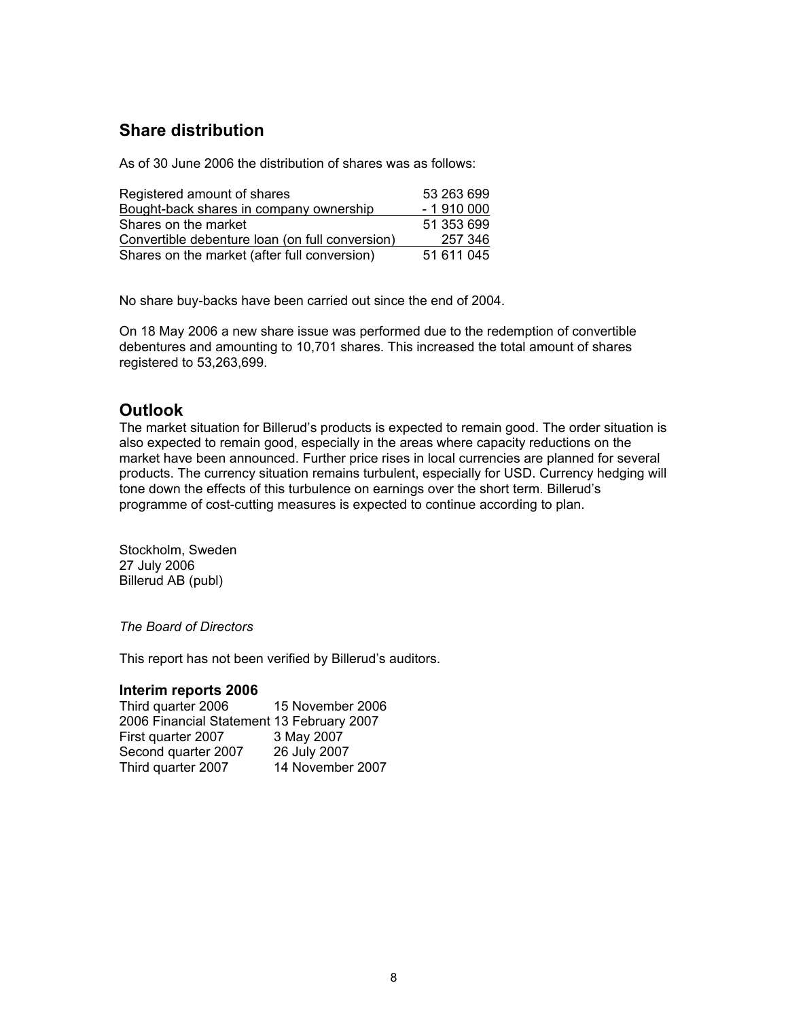# **Share distribution**

As of 30 June 2006 the distribution of shares was as follows:

| Registered amount of shares                     | 53 263 699 |
|-------------------------------------------------|------------|
| Bought-back shares in company ownership         | $-1910000$ |
| Shares on the market                            | 51 353 699 |
| Convertible debenture loan (on full conversion) | 257 346    |
| Shares on the market (after full conversion)    | 51 611 045 |

No share buy-backs have been carried out since the end of 2004.

On 18 May 2006 a new share issue was performed due to the redemption of convertible debentures and amounting to 10,701 shares. This increased the total amount of shares registered to 53,263,699.

# **Outlook**

The market situation for Billerud's products is expected to remain good. The order situation is also expected to remain good, especially in the areas where capacity reductions on the market have been announced. Further price rises in local currencies are planned for several products. The currency situation remains turbulent, especially for USD. Currency hedging will tone down the effects of this turbulence on earnings over the short term. Billerud's programme of cost-cutting measures is expected to continue according to plan.

Stockholm, Sweden 27 July 2006 Billerud AB (publ)

*The Board of Directors* 

This report has not been verified by Billerud's auditors.

#### **Interim reports 2006**

| Third quarter 2006                        | 15 November 2006 |
|-------------------------------------------|------------------|
| 2006 Financial Statement 13 February 2007 |                  |
| First quarter 2007                        | 3 May 2007       |
| Second quarter 2007                       | 26 July 2007     |
| Third quarter 2007                        | 14 November 2007 |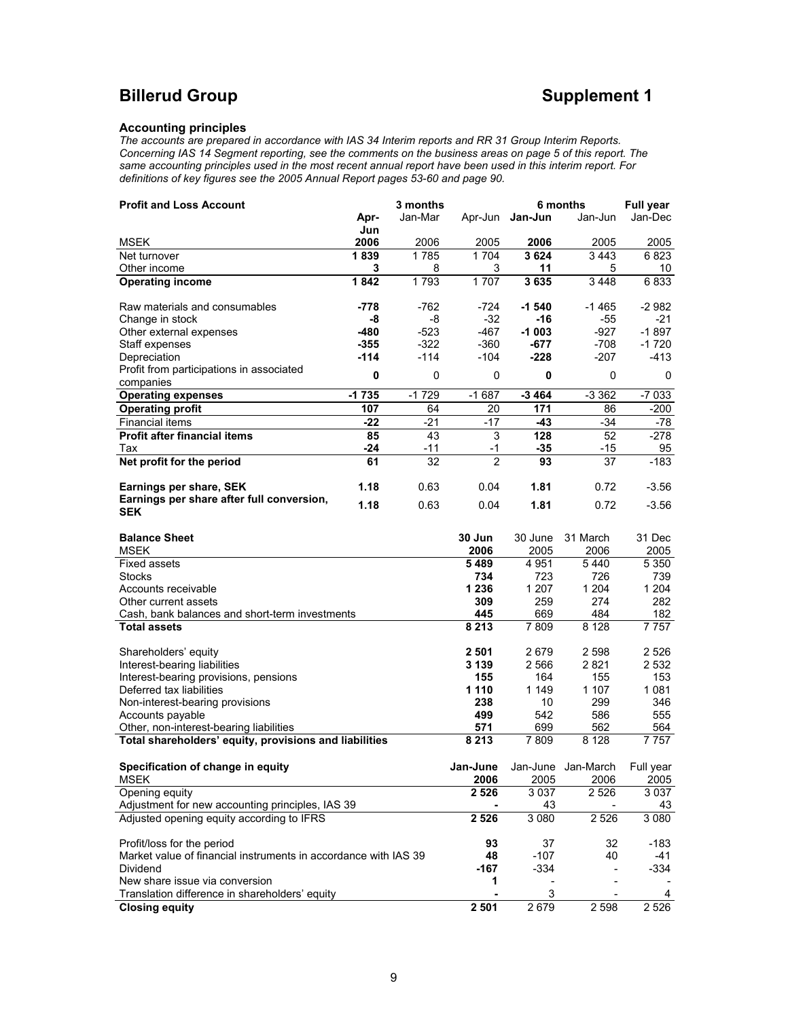# **Billerud Group Supplement 1**

#### **Accounting principles**

New share issue via conversion

**2 Closing equity** 

*The accounts are prepared in accordance with IAS 34 Interim reports and RR 31 Group Interim Reports. Concerning IAS 14 Segment reporting, see the comments on the business areas on page 5 of this report. The same accounting principles used in the most recent annual report have been used in this interim report. For definitions of key figures see the 2005 Annual Report pages 53-60 and page 90.* 

| <b>Profit and Loss Account</b>                                    |         | 3 months |                |                 | 6 months           | <b>Full year</b> |
|-------------------------------------------------------------------|---------|----------|----------------|-----------------|--------------------|------------------|
|                                                                   | Apr-    | Jan-Mar  |                | Apr-Jun Jan-Jun | Jan-Jun            | Jan-Dec          |
|                                                                   | Jun     |          |                |                 |                    |                  |
| <b>MSEK</b>                                                       | 2006    | 2006     | 2005           | 2006            | 2005               | 2005             |
| Net turnover                                                      | 1839    | 1785     | 1704           | 3624            | 3443               | 6823             |
| Other income                                                      | 3       | 8        | 3              | 11              | 5                  | 10               |
| <b>Operating income</b>                                           | 1842    | 1793     | 1707           | 3635            | 3448               | 6833             |
| Raw materials and consumables                                     | -778    | -762     | -724           | $-1540$         | $-1465$            | $-2982$          |
| Change in stock                                                   | -8      | -8       | $-32$          | -16             | $-55$              | $-21$            |
| Other external expenses                                           | $-480$  | $-523$   | $-467$         | $-1003$         | $-927$             | $-1897$          |
| Staff expenses                                                    | -355    | $-322$   | -360           | $-677$          | $-708$             | $-1720$          |
| Depreciation                                                      | $-114$  | $-114$   | -104           | -228            | -207               | -413             |
| Profit from participations in associated                          |         |          |                |                 |                    |                  |
| companies                                                         | 0       | 0        | 0              | 0               | $\mathbf 0$        | 0                |
| <b>Operating expenses</b>                                         | $-1735$ | $-1729$  | $-1687$        | $-3464$         | $-3.362$           | $-7033$          |
| <b>Operating profit</b>                                           | 107     | 64       | 20             | 171             | 86                 | $-200$           |
| <b>Financial items</b>                                            | $-22$   | $-21$    | -17            | -43             | $-34$              | -78              |
| <b>Profit after financial items</b>                               | 85      | 43       | 3              | 128             | 52                 | -278             |
| Tax                                                               | $-24$   | -11      | -1             | $-35$           | -15                | 95               |
| Net profit for the period                                         | 61      | 32       | $\overline{2}$ | 93              | 37                 | $-183$           |
|                                                                   |         |          |                |                 |                    |                  |
| Earnings per share, SEK                                           | 1.18    | 0.63     | 0.04           | 1.81            | 0.72               | $-3.56$          |
| Earnings per share after full conversion,                         |         |          | 0.04           |                 |                    |                  |
| <b>SEK</b>                                                        | 1.18    | 0.63     |                | 1.81            | 0.72               | $-3.56$          |
|                                                                   |         |          |                |                 |                    |                  |
| <b>Balance Sheet</b>                                              |         |          | 30 Jun         | 30 June         | 31 March           | 31 Dec           |
| MSEK                                                              |         |          | 2006           | 2005            | 2006               | 2005             |
| <b>Fixed assets</b>                                               |         |          | 5489           | 4 9 5 1         | 5440               | 5 3 5 0          |
| <b>Stocks</b>                                                     |         |          | 734            | 723             | 726                | 739              |
| Accounts receivable                                               |         |          | 1 236          | 1 207           | 1 204              | 1 204            |
| Other current assets                                              |         |          | 309            | 259             | 274                | 282              |
| Cash, bank balances and short-term investments                    |         |          | 445            | 669             | 484                | 182              |
| <b>Total assets</b>                                               |         |          | 8 2 1 3        | 7809            | 8 1 2 8            | 7 757            |
|                                                                   |         |          |                |                 |                    |                  |
| Shareholders' equity                                              |         |          | 2 501          | 2679            | 2 598              | 2 5 2 6          |
| Interest-bearing liabilities                                      |         |          | 3 1 3 9        | 2566            | 2821               | 2 5 3 2          |
| Interest-bearing provisions, pensions<br>Deferred tax liabilities |         |          | 155<br>1 1 1 0 | 164<br>1 1 4 9  | 155<br>1 107       | 153<br>1081      |
| Non-interest-bearing provisions                                   |         |          | 238            | 10              | 299                | 346              |
| Accounts payable                                                  |         |          | 499            | 542             | 586                | 555              |
| Other, non-interest-bearing liabilities                           |         |          | 571            | 699             | 562                | 564              |
| Total shareholders' equity, provisions and liabilities            |         |          | 8 2 1 3        | 7809            | 8 1 2 8            | 7 7 5 7          |
|                                                                   |         |          |                |                 |                    |                  |
| Specification of change in equity                                 |         |          | Jan-June       |                 | Jan-June Jan-March | Full year        |
| <b>MSEK</b>                                                       |         |          | 2006           | 2005            | 2006               | 2005             |
| Opening equity                                                    |         |          | 2 5 2 6        | 3 0 3 7         | 2 5 2 6            | 3 0 3 7          |
| Adjustment for new accounting principles, IAS 39                  |         |          |                | 43              |                    | 43               |
| Adjusted opening equity according to IFRS                         |         |          | 2 5 2 6        | 3 0 8 0         | 2 5 2 6            | 3 0 8 0          |
|                                                                   |         |          |                |                 |                    |                  |
| Profit/loss for the period                                        |         |          | 93             | 37              | 32                 | $-183$           |
| Market value of financial instruments in accordance with IAS 39   |         |          | 48             | $-107$          | 40                 | $-41$            |
| Dividend                                                          |         |          | $-167$         | $-334$          | ٠                  | -334             |
| New share issue via conversion                                    |         |          | 1              |                 |                    |                  |

Translation difference in shareholders' equity<br> **Closing equity**<br> **2 501** 2 679 2 598 2 526

 $\frac{1}{3}$ 

-

-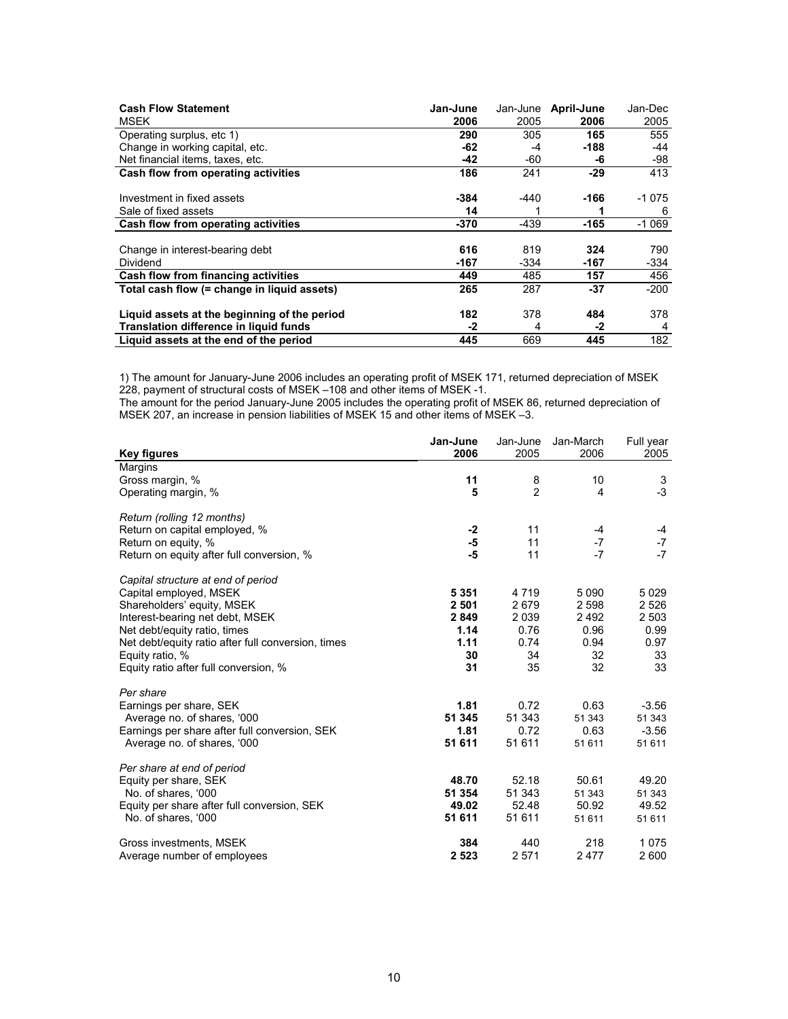| <b>Cash Flow Statement</b>                   | Jan-June | Jan-June | April-June | Jan-Dec |
|----------------------------------------------|----------|----------|------------|---------|
| <b>MSEK</b>                                  | 2006     | 2005     | 2006       | 2005    |
| Operating surplus, etc 1)                    | 290      | 305      | 165        | 555     |
| Change in working capital, etc.              | -62      | -4       | -188       | -44     |
| Net financial items, taxes, etc.             | $-42$    | -60      | -6         | -98     |
| Cash flow from operating activities          | 186      | 241      | $-29$      | 413     |
|                                              |          |          |            |         |
| Investment in fixed assets                   | -384     | -440     | -166       | -1 075  |
| Sale of fixed assets                         | 14       |          |            | 6       |
| Cash flow from operating activities          | -370     | -439     | -165       | $-1069$ |
|                                              |          |          |            |         |
| Change in interest-bearing debt              | 616      | 819      | 324        | 790     |
| Dividend                                     | -167     | -334     | -167       | -334    |
| Cash flow from financing activities          | 449      | 485      | 157        | 456     |
| Total cash flow (= change in liquid assets)  | 265      | 287      | -37        | $-200$  |
| Liquid assets at the beginning of the period | 182      | 378      | 484        | 378     |
| Translation difference in liquid funds       | -2       | 4        | -2         | 4       |
| Liquid assets at the end of the period       | 445      | 669      | 445        | 182     |

1) The amount for January-June 2006 includes an operating profit of MSEK 171, returned depreciation of MSEK 228, payment of structural costs of MSEK –108 and other items of MSEK -1.

The amount for the period January-June 2005 includes the operating profit of MSEK 86, returned depreciation of MSEK 207, an increase in pension liabilities of MSEK 15 and other items of MSEK –3.

|                                                    | Jan-June | Jan-June       | Jan-March | Full year |
|----------------------------------------------------|----------|----------------|-----------|-----------|
| <b>Key figures</b>                                 | 2006     | 2005           | 2006      | 2005      |
| Margins                                            |          |                |           |           |
| Gross margin, %                                    | 11       | 8              | 10        | 3         |
| Operating margin, %                                | 5        | $\overline{2}$ | 4         | $-3$      |
| Return (rolling 12 months)                         |          |                |           |           |
| Return on capital employed, %                      | $-2$     | 11             | -4        | -4        |
| Return on equity, %                                | -5       | 11             | $-7$      | $-7$      |
| Return on equity after full conversion, %          | -5       | 11             | $-7$      | $-7$      |
| Capital structure at end of period                 |          |                |           |           |
| Capital employed, MSEK                             | 5 3 5 1  | 4 7 1 9        | 5 0 9 0   | 5029      |
| Shareholders' equity, MSEK                         | 2 5 0 1  | 2679           | 2 5 9 8   | 2 5 2 6   |
| Interest-bearing net debt, MSEK                    | 2849     | 2 0 3 9        | 2492      | 2 5 0 3   |
| Net debt/equity ratio, times                       | 1.14     | 0.76           | 0.96      | 0.99      |
| Net debt/equity ratio after full conversion, times | 1.11     | 0.74           | 0.94      | 0.97      |
| Equity ratio, %                                    | 30       | 34             | 32        | 33        |
| Equity ratio after full conversion, %              | 31       | 35             | 32        | 33        |
| Per share                                          |          |                |           |           |
| Earnings per share, SEK                            | 1.81     | 0.72           | 0.63      | $-3.56$   |
| Average no. of shares, '000                        | 51 345   | 51 343         | 51 343    | 51 343    |
| Earnings per share after full conversion, SEK      | 1.81     | 0.72           | 0.63      | $-3.56$   |
| Average no. of shares, '000                        | 51 611   | 51 611         | 51 611    | 51 611    |
| Per share at end of period                         |          |                |           |           |
| Equity per share, SEK                              | 48.70    | 52.18          | 50.61     | 49.20     |
| No. of shares, '000                                | 51 354   | 51 343         | 51 343    | 51 343    |
| Equity per share after full conversion, SEK        | 49.02    | 52.48          | 50.92     | 49.52     |
| No. of shares, '000                                | 51 611   | 51 611         | 51 611    | 51 611    |
| Gross investments, MSEK                            | 384      | 440            | 218       | 1075      |
| Average number of employees                        | 2 5 2 3  | 2571           | 2477      | 2 600     |